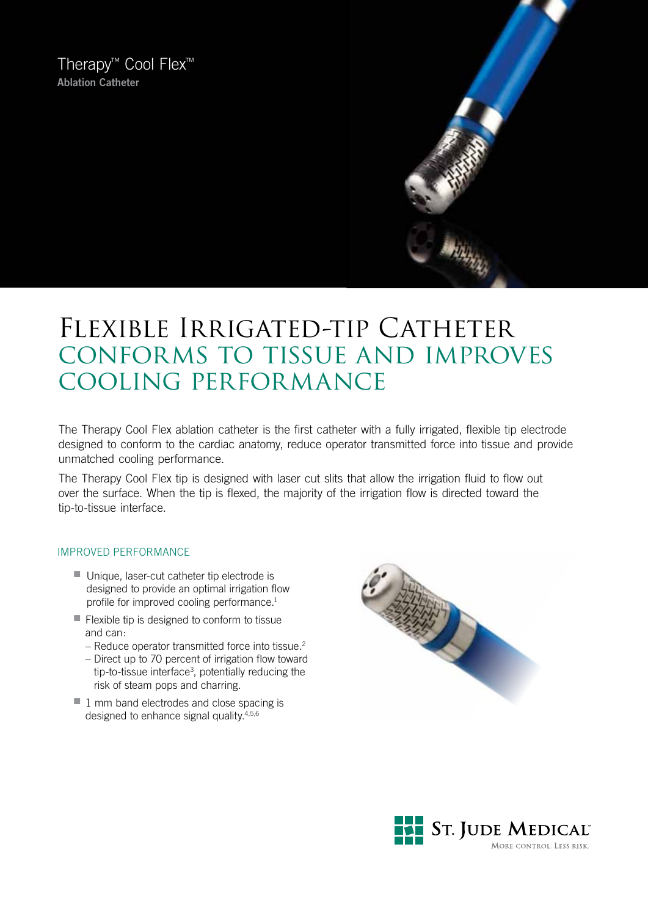Therapy™ Cool Flex™ **Ablation Catheter**



# FLEXIBLE IRRIGATED-TIP CATHETER conforms to tissue and improves cooling performance

The Therapy Cool Flex ablation catheter is the first catheter with a fully irrigated, flexible tip electrode designed to conform to the cardiac anatomy, reduce operator transmitted force into tissue and provide unmatched cooling performance.

The Therapy Cool Flex tip is designed with laser cut slits that allow the irrigation fluid to flow out over the surface. When the tip is flexed, the majority of the irrigation flow is directed toward the tip-to-tissue interface.

### improved performance

- $\blacksquare$  Unique, laser-cut catheter tip electrode is designed to provide an optimal irrigation flow profile for improved cooling performance.<sup>1</sup>
- $\blacksquare$  Flexible tip is designed to conform to tissue and can:
	- Reduce operator transmitted force into tissue.<sup>2</sup>
	- Direct up to 70 percent of irrigation flow toward tip-to-tissue interface<sup>3</sup>, potentially reducing the risk of steam pops and charring.
- $\blacksquare$  1 mm band electrodes and close spacing is designed to enhance signal quality.4,5,6